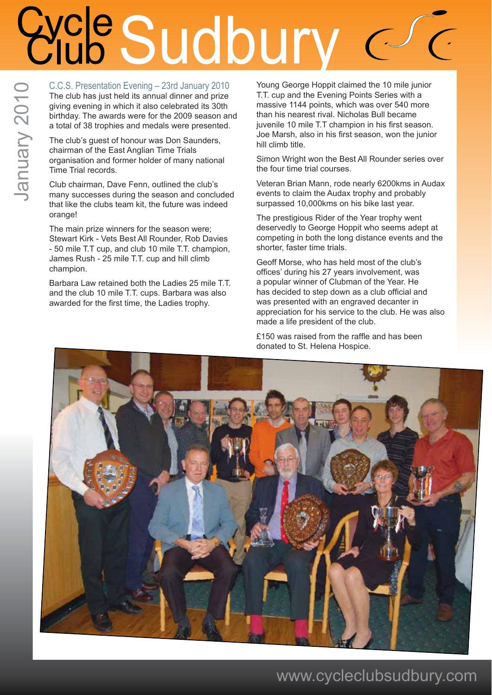### **Cycle Sudbury**  $\int$

C.C.S. Presentation Evening – 23rd January 2010 The club has just held its annual dinner and prize giving evening in which it also celebrated its 30th birthday. The awards were for the 2009 season and a total of 38 trophies and medals were presented.

The club's guest of honour was Don Saunders, chairman of the East Anglian Time Trials organisation and former holder of many national Time Trial records.

Club chairman, Dave Fenn, outlined the club's many successes during the season and concluded that like the clubs team kit, the future was indeed orange!

The main prize winners for the season were; Stewart Kirk - Vets Best All Rounder, Rob Davies - 50 mile T.T cup, and club 10 mile T.T. champion, James Rush - 25 mile T.T. cup and hill climb champion.

Barbara Law retained both the Ladies 25 mile T.T. and the club 10 mile T.T. cups. Barbara was also awarded for the first time, the Ladies trophy.

Young George Hoppit claimed the 10 mile junior T.T. cup and the Evening Points Series with a massive 1144 points, which was over 540 more than his nearest rival. Nicholas Bull became juvenile 10 mile T.T champion in his first season. Joe Marsh, also in his first season, won the junior hill climb title.

Simon Wright won the Best All Rounder series over the four time trial courses.

Veteran Brian Mann, rode nearly 6200kms in Audax events to claim the Audax trophy and probably surpassed 10,000kms on his bike last year.

The prestigious Rider of the Year trophy went deservedly to George Hoppit who seems adept at competing in both the long distance events and the shorter, faster time trials.

Geoff Morse, who has held most of the club's offices' during his 27 years involvement, was a popular winner of Clubman of the Year. He has decided to step down as a club official and was presented with an engraved decanter in appreciation for his service to the club. He was also made a life president of the club.

£150 was raised from the raffle and has been donated to St. Helena Hospice.

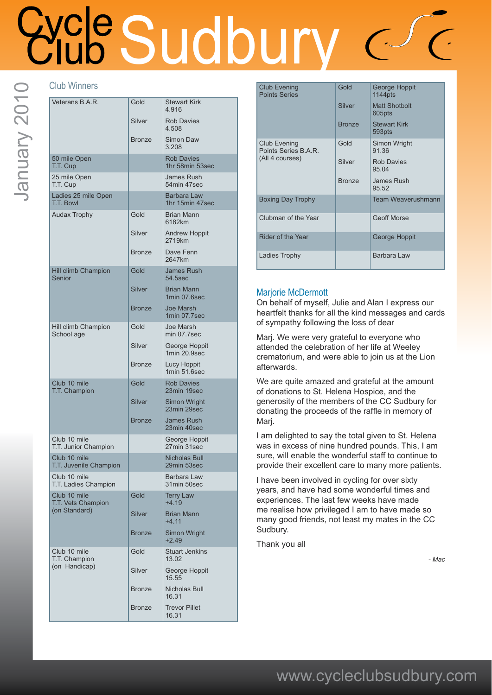## We Sudbury

### Club Winners

| Veterans B.A.R.                        | Gold          | <b>Stewart Kirk</b><br>4.916         |
|----------------------------------------|---------------|--------------------------------------|
|                                        | Silver        | <b>Rob Davies</b><br>4.508           |
|                                        | <b>Bronze</b> | Simon Daw<br>3.208                   |
| 50 mile Open<br>T.T. Cup               |               | <b>Rob Davies</b><br>1hr 58min 53sec |
| 25 mile Open<br>T.T. Cup               |               | James Rush<br>54min 47sec            |
| Ladies 25 mile Open<br>T.T. Bowl       |               | Barbara Law<br>1hr 15min 47sec       |
| <b>Audax Trophy</b>                    | Gold          | <b>Brian Mann</b><br>6182km          |
|                                        | Silver        | <b>Andrew Hoppit</b><br>2719km       |
|                                        | <b>Bronze</b> | Dave Fenn<br>2647km                  |
| Hill climb Champion<br>Senior          | Gold          | <b>James Rush</b><br>54.5sec         |
|                                        | <b>Silver</b> | <b>Brian Mann</b><br>1min 07.6sec    |
|                                        | <b>Bronze</b> | <b>Joe Marsh</b><br>1min 07.7sec     |
| Hill climb Champion<br>School age      | Gold          | Joe Marsh<br>min 07.7sec             |
|                                        | Silver        | George Hoppit<br>1min 20.9sec        |
|                                        | <b>Bronze</b> | Lucy Hoppit<br>1min 51.6sec          |
| Club 10 mile<br>T.T. Champion          | Gold          | <b>Rob Davies</b><br>23min 19sec     |
|                                        | <b>Silver</b> | Simon Wright<br>23min 29sec          |
|                                        | <b>Bronze</b> | <b>James Rush</b><br>23min 40sec     |
| Club 10 mile<br>T.T. Junior Champion   |               | George Hoppit<br>27min 31sec         |
| Club 10 mile<br>T.T. Juvenile Champion |               | Nicholas Bull<br>29min 53sec         |
| Club 10 mile<br>T.T. Ladies Champion   |               | <b>Barbara Law</b><br>31min 50sec    |
| Club 10 mile<br>T.T. Vets Champion     | Gold          | <b>Terry Law</b><br>$+4.19$          |
| (on Standard)                          | <b>Silver</b> | <b>Brian Mann</b><br>$+4.11$         |
|                                        | <b>Bronze</b> | <b>Simon Wright</b><br>$+2.49$       |
| Club 10 mile<br>T.T. Champion          | Gold          | <b>Stuart Jenkins</b><br>13.02       |
| (on Handicap)                          | Silver        | George Hoppit<br>15.55               |
|                                        | <b>Bronze</b> | Nicholas Bull<br>16.31               |
|                                        | <b>Bronze</b> | <b>Trevor Pillet</b><br>16.31        |

| <b>Club Evening</b><br><b>Points Series</b>             | Gold          | George Hoppit<br>1144pts       |
|---------------------------------------------------------|---------------|--------------------------------|
|                                                         | Silver        | <b>Matt Shotbolt</b><br>605pts |
|                                                         | <b>Bronze</b> | <b>Stewart Kirk</b><br>593pts  |
| Club Evening<br>Points Series B.A.R.<br>(All 4 courses) | Gold          | Simon Wright<br>91.36          |
|                                                         | Silver        | <b>Rob Davies</b><br>95 04     |
|                                                         | <b>Bronze</b> | James Rush<br>95.52            |
| <b>Boxing Day Trophy</b>                                |               | <b>Team Weaverushmann</b>      |
| Clubman of the Year                                     |               | <b>Geoff Morse</b>             |
| Rider of the Year                                       |               | George Hoppit                  |
| Ladies Trophy                                           |               | Barbara Law                    |

### Marjorie McDermott

On behalf of myself, Julie and Alan I express our heartfelt thanks for all the kind messages and cards of sympathy following the loss of dear

Marj. We were very grateful to everyone who attended the celebration of her life at Weeley crematorium, and were able to join us at the Lion afterwards.

We are quite amazed and grateful at the amount of donations to St. Helena Hospice, and the generosity of the members of the CC Sudbury for donating the proceeds of the raffle in memory of Marj.

I am delighted to say the total given to St. Helena was in excess of nine hundred pounds. This, I am sure, will enable the wonderful staff to continue to provide their excellent care to many more patients.

I have been involved in cycling for over sixty years, and have had some wonderful times and experiences. The last few weeks have made me realise how privileged I am to have made so many good friends, not least my mates in the CC Sudbury.

Thank you all

*- Mac*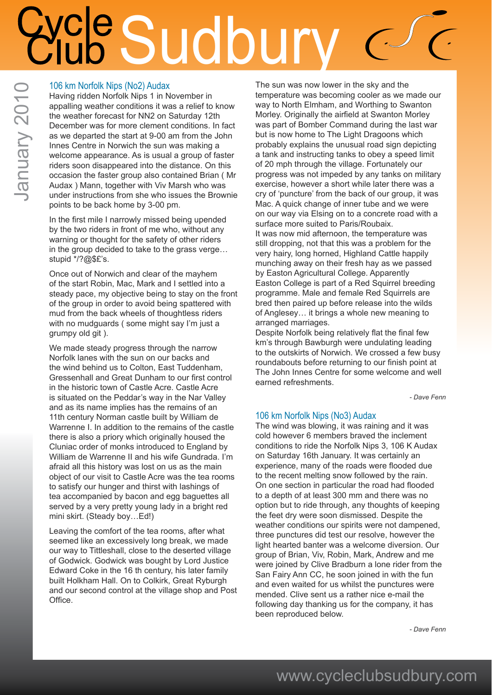# ale Sudbu

### 106 km Norfolk Nips (No2) Audax

Having ridden Norfolk Nips 1 in November in appalling weather conditions it was a relief to know the weather forecast for NN2 on Saturday 12th December was for more clement conditions. In fact as we departed the start at 9-00 am from the John Innes Centre in Norwich the sun was making a welcome appearance. As is usual a group of faster riders soon disappeared into the distance. On this occasion the faster group also contained Brian ( Mr Audax ) Mann, together with Viv Marsh who was under instructions from she who issues the Brownie points to be back home by 3-00 pm.

In the first mile I narrowly missed being upended by the two riders in front of me who, without any warning or thought for the safety of other riders in the group decided to take to the grass verge… stupid \*/?@\$£'s.

Once out of Norwich and clear of the mayhem of the start Robin, Mac, Mark and I settled into a steady pace, my objective being to stay on the front of the group in order to avoid being spattered with mud from the back wheels of thoughtless riders with no mudguards ( some might say I'm just a grumpy old git ).

We made steady progress through the narrow Norfolk lanes with the sun on our backs and the wind behind us to Colton, East Tuddenham, Gressenhall and Great Dunham to our first control in the historic town of Castle Acre. Castle Acre is situated on the Peddar's way in the Nar Valley and as its name implies has the remains of an 11th century Norman castle built by William de Warrenne I. In addition to the remains of the castle there is also a priory which originally housed the Cluniac order of monks introduced to England by William de Warrenne II and his wife Gundrada. I'm afraid all this history was lost on us as the main object of our visit to Castle Acre was the tea rooms to satisfy our hunger and thirst with lashings of tea accompanied by bacon and egg baguettes all served by a very pretty young lady in a bright red mini skirt. (Steady boy…Ed!)

Leaving the comfort of the tea rooms, after what seemed like an excessively long break, we made our way to Tittleshall, close to the deserted village of Godwick. Godwick was bought by Lord Justice Edward Coke in the 16 th century, his later family built Holkham Hall. On to Colkirk, Great Ryburgh and our second control at the village shop and Post Office.

The sun was now lower in the sky and the temperature was becoming cooler as we made our way to North Elmham, and Worthing to Swanton Morley. Originally the airfield at Swanton Morley was part of Bomber Command during the last war but is now home to The Light Dragoons which probably explains the unusual road sign depicting a tank and instructing tanks to obey a speed limit of 20 mph through the village. Fortunately our progress was not impeded by any tanks on military exercise, however a short while later there was a cry of 'puncture' from the back of our group, it was Mac. A quick change of inner tube and we were on our way via Elsing on to a concrete road with a surface more suited to Paris/Roubaix. It was now mid afternoon, the temperature was still dropping, not that this was a problem for the very hairy, long horned, Highland Cattle happily munching away on their fresh hay as we passed by Easton Agricultural College. Apparently Easton College is part of a Red Squirrel breeding programme. Male and female Red Squirrels are bred then paired up before release into the wilds of Anglesey… it brings a whole new meaning to arranged marriages.

Despite Norfolk being relatively flat the final few km's through Bawburgh were undulating leading to the outskirts of Norwich. We crossed a few busy roundabouts before returning to our finish point at The John Innes Centre for some welcome and well earned refreshments.

*- Dave Fenn*

### 106 km Norfolk Nips (No3) Audax

The wind was blowing, it was raining and it was cold however 6 members braved the inclement conditions to ride the Norfolk Nips 3, 106 K Audax on Saturday 16th January. It was certainly an experience, many of the roads were flooded due to the recent melting snow followed by the rain. On one section in particular the road had flooded to a depth of at least 300 mm and there was no option but to ride through, any thoughts of keeping the feet dry were soon dismissed. Despite the weather conditions our spirits were not dampened, three punctures did test our resolve, however the light hearted banter was a welcome diversion. Our group of Brian, Viv, Robin, Mark, Andrew and me were joined by Clive Bradburn a lone rider from the San Fairy Ann CC, he soon joined in with the fun and even waited for us whilst the punctures were mended. Clive sent us a rather nice e-mail the following day thanking us for the company, it has been reproduced below.

*- Dave Fenn*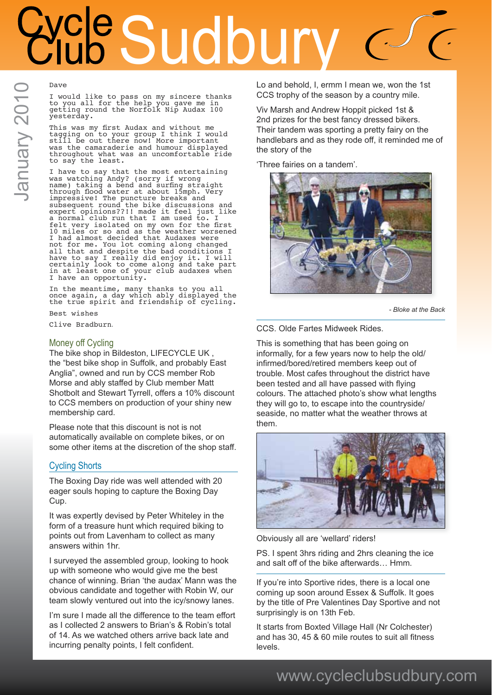### Cle Sudbu

### Dave

I would like to pass on my sincere thanks to you all for the help you gave me in getting round the Norfolk Nip Audax 100 yesterday.

This was my first Audax and without me tagging on to your group I think I would still be out there now! More important was the camaraderie and humour displayed throughout what was an uncomfortable ride to say the least.

I have to say that the most entertaining was watching Andy? (sorry if wrong name) taking a bend and surfing straight through flood water at about 15mph. Very impressive! The puncture breaks and subsequent round the bike discussions and expert opinions??!! made it feel just like a normal club run that I am used to. I felt very isolated on my own for the first 10 miles or so and as the weather worsened I had almost decided that Audaxes were not for me. You lot coming along changed all that and despite the bad conditions I have to say I really did enjoy it. I will certainly look to come along and take part in at least one of your club audaxes when I have an opportunity.

In the meantime, many thanks to you all once again, a day which ably displayed the the true spirit and friendship of cycling.

Best wishes

Clive Bradburn*.*

### Money off Cycling

The bike shop in Bildeston, LIFECYCLE UK , the "best bike shop in Suffolk, and probably East Anglia", owned and run by CCS member Rob Morse and ably staffed by Club member Matt Shotbolt and Stewart Tyrrell, offers a 10% discount to CCS members on production of your shiny new membership card.

Please note that this discount is not is not automatically available on complete bikes, or on some other items at the discretion of the shop staff.

### Cycling Shorts

The Boxing Day ride was well attended with 20 eager souls hoping to capture the Boxing Day Cup.

It was expertly devised by Peter Whiteley in the form of a treasure hunt which required biking to points out from Lavenham to collect as many answers within 1hr.

I surveyed the assembled group, looking to hook up with someone who would give me the best chance of winning. Brian 'the audax' Mann was the obvious candidate and together with Robin W, our team slowly ventured out into the icy/snowy lanes.

I'm sure I made all the difference to the team effort as I collected 2 answers to Brian's & Robin's total of 14. As we watched others arrive back late and incurring penalty points, I felt confident.

Lo and behold, I, ermm I mean we, won the 1st CCS trophy of the season by a country mile.

Viv Marsh and Andrew Hoppit picked 1st & 2nd prizes for the best fancy dressed bikers. Their tandem was sporting a pretty fairy on the handlebars and as they rode off, it reminded me of the story of the

'Three fairies on a tandem'.



*- Bloke at the Back*

CCS. Olde Fartes Midweek Rides.

This is something that has been going on informally, for a few years now to help the old/ infirmed/bored/retired members keep out of trouble. Most cafes throughout the district have been tested and all have passed with flying colours. The attached photo's show what lengths they will go to, to escape into the countryside/ seaside, no matter what the weather throws at them.



Obviously all are 'wellard' riders!

PS. I spent 3hrs riding and 2hrs cleaning the ice and salt off of the bike afterwards… Hmm.

If you're into Sportive rides, there is a local one coming up soon around Essex & Suffolk. It goes by the title of Pre Valentines Day Sportive and not surprisingly is on 13th Feb.

It starts from Boxted Village Hall (Nr Colchester) and has 30, 45 & 60 mile routes to suit all fitness levels.